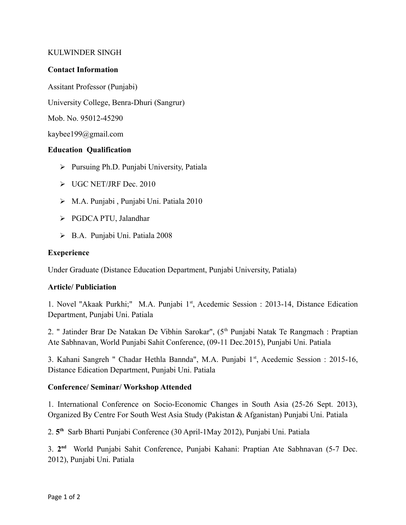### KULWINDER SINGH

#### **Contact Information**

Assitant Professor (Punjabi)

University College, Benra-Dhuri (Sangrur)

Mob. No. 95012-45290

kaybee199@gmail.com

# **Education Qualification**

- $\triangleright$  Pursuing Ph.D. Punjabi University, Patiala
- UGC NET/JRF Dec. 2010
- M.A. Punjabi , Punjabi Uni. Patiala 2010
- PGDCA PTU, Jalandhar
- B.A. Punjabi Uni. Patiala 2008

### **Exeperience**

Under Graduate (Distance Education Department, Punjabi University, Patiala)

# **Article/ Publiciation**

1. Novel "Akaak Purkhi;" M.A. Punjabi 1<sup>st</sup>, Acedemic Session : 2013-14, Distance Edication Department, Punjabi Uni. Patiala

2. " Jatinder Brar De Natakan De Vibhin Sarokar", (5<sup>th</sup> Punjabi Natak Te Rangmach : Praptian Ate Sabhnavan, World Punjabi Sahit Conference, (09-11 Dec.2015), Punjabi Uni. Patiala

3. Kahani Sangreh " Chadar Hethla Bannda", M.A. Punjabi 1st, Acedemic Session : 2015-16, Distance Edication Department, Punjabi Uni. Patiala

# **Conference/ Seminar/ Workshop Attended**

1. International Conference on Socio-Economic Changes in South Asia (25-26 Sept. 2013), Organized By Centre For South West Asia Study (Pakistan & Afganistan) Punjabi Uni. Patiala

2. **5 th** Sarb Bharti Punjabi Conference (30 April-1May 2012), Punjabi Uni. Patiala

3. **2 nd** World Punjabi Sahit Conference, Punjabi Kahani: Praptian Ate Sabhnavan (5-7 Dec. 2012), Punjabi Uni. Patiala